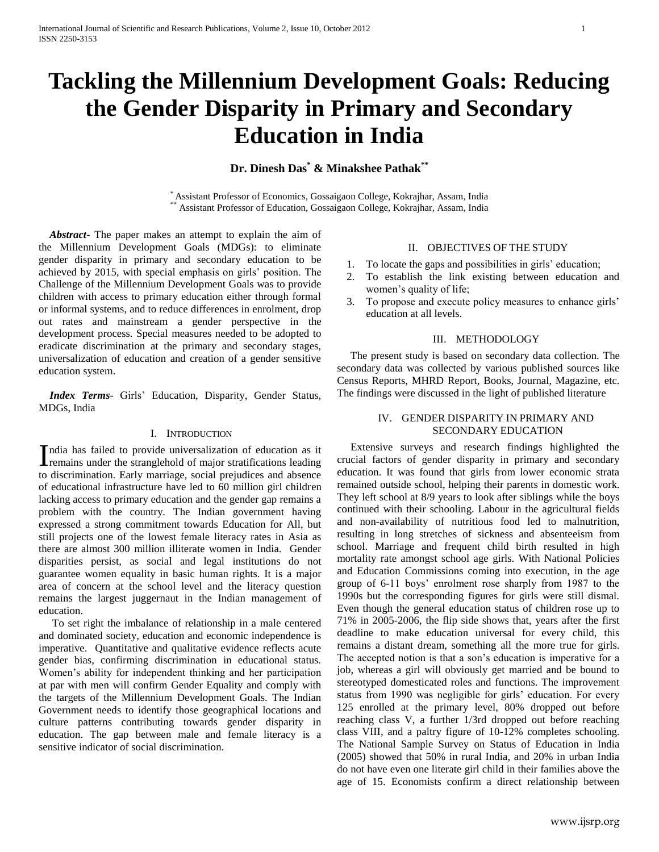# **Tackling the Millennium Development Goals: Reducing the Gender Disparity in Primary and Secondary Education in India**

**Dr. Dinesh Das\* & Minakshee Pathak\*\***

\* Assistant Professor of Economics, Gossaigaon College, Kokrajhar, Assam, India \*\* Assistant Professor of Education, Gossaigaon College, Kokrajhar, Assam, India

 *Abstract***-** The paper makes an attempt to explain the aim of the Millennium Development Goals (MDGs): to eliminate gender disparity in primary and secondary education to be achieved by 2015, with special emphasis on girls" position. The Challenge of the Millennium Development Goals was to provide children with access to primary education either through formal or informal systems, and to reduce differences in enrolment, drop out rates and mainstream a gender perspective in the development process. Special measures needed to be adopted to eradicate discrimination at the primary and secondary stages, universalization of education and creation of a gender sensitive education system.

 *Index Terms*- Girls" Education, Disparity, Gender Status, MDGs, India

#### I. INTRODUCTION

ndia has failed to provide universalization of education as it India has failed to provide universalization of education as it remains under the stranglehold of major stratifications leading to discrimination. Early marriage, social prejudices and absence of educational infrastructure have led to 60 million girl children lacking access to primary education and the gender gap remains a problem with the country. The Indian government having expressed a strong commitment towards Education for All, but still projects one of the lowest female literacy rates in Asia as there are almost 300 million illiterate women in India. Gender disparities persist, as social and legal institutions do not guarantee women equality in basic human rights. It is a major area of concern at the school level and the literacy question remains the largest juggernaut in the Indian management of education.

 To set right the imbalance of relationship in a male centered and dominated society, education and economic independence is imperative. Quantitative and qualitative evidence reflects acute gender bias, confirming discrimination in educational status. Women"s ability for independent thinking and her participation at par with men will confirm Gender Equality and comply with the targets of the Millennium Development Goals. The Indian Government needs to identify those geographical locations and culture patterns contributing towards gender disparity in education. The gap between male and female literacy is a sensitive indicator of social discrimination.

# II. OBJECTIVES OF THE STUDY

- 1. To locate the gaps and possibilities in girls' education;
- 2. To establish the link existing between education and women"s quality of life;
- 3. To propose and execute policy measures to enhance girls" education at all levels.

#### III. METHODOLOGY

 The present study is based on secondary data collection. The secondary data was collected by various published sources like Census Reports, MHRD Report, Books, Journal, Magazine, etc. The findings were discussed in the light of published literature

#### IV. GENDER DISPARITY IN PRIMARY AND SECONDARY EDUCATION

 Extensive surveys and research findings highlighted the crucial factors of gender disparity in primary and secondary education. It was found that girls from lower economic strata remained outside school, helping their parents in domestic work. They left school at 8/9 years to look after siblings while the boys continued with their schooling. Labour in the agricultural fields and non-availability of nutritious food led to malnutrition, resulting in long stretches of sickness and absenteeism from school. Marriage and frequent child birth resulted in high mortality rate amongst school age girls. With National Policies and Education Commissions coming into execution, in the age group of 6-11 boys" enrolment rose sharply from 1987 to the 1990s but the corresponding figures for girls were still dismal. Even though the general education status of children rose up to 71% in 2005-2006, the flip side shows that, years after the first deadline to make education universal for every child, this remains a distant dream, something all the more true for girls. The accepted notion is that a son"s education is imperative for a job, whereas a girl will obviously get married and be bound to stereotyped domesticated roles and functions. The improvement status from 1990 was negligible for girls' education. For every 125 enrolled at the primary level, 80% dropped out before reaching class V, a further 1/3rd dropped out before reaching class VIII, and a paltry figure of 10-12% completes schooling. The National Sample Survey on Status of Education in India (2005) showed that 50% in rural India, and 20% in urban India do not have even one literate girl child in their families above the age of 15. Economists confirm a direct relationship between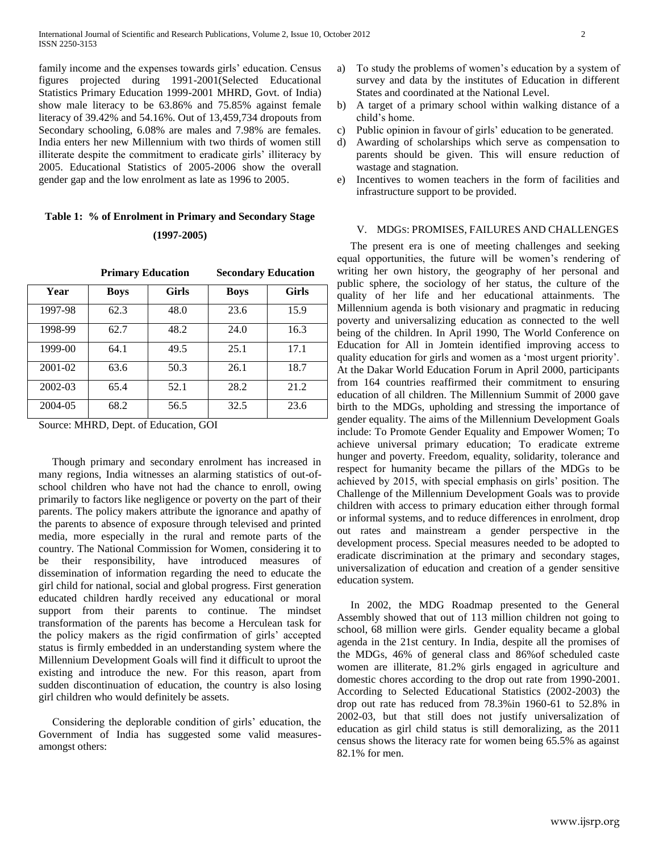family income and the expenses towards girls' education. Census figures projected during 1991-2001(Selected Educational Statistics Primary Education 1999-2001 MHRD, Govt. of India) show male literacy to be 63.86% and 75.85% against female literacy of 39.42% and 54.16%. Out of 13,459,734 dropouts from Secondary schooling, 6.08% are males and 7.98% are females. India enters her new Millennium with two thirds of women still illiterate despite the commitment to eradicate girls" illiteracy by 2005. Educational Statistics of 2005-2006 show the overall gender gap and the low enrolment as late as 1996 to 2005.

# **Table 1: % of Enrolment in Primary and Secondary Stage (1997-2005)**

|         | <b>Primary Education</b> |              | <b>Secondary Education</b> |              |  |
|---------|--------------------------|--------------|----------------------------|--------------|--|
| Year    | <b>Boys</b>              | <b>Girls</b> | <b>Boys</b>                | <b>Girls</b> |  |
| 1997-98 | 62.3                     | 48.0         | 23.6                       | 15.9         |  |
| 1998-99 | 62.7                     | 48.2         | 24.0                       | 16.3         |  |
| 1999-00 | 64.1                     | 49.5         | 25.1                       | 17.1         |  |
| 2001-02 | 63.6                     | 50.3         | 26.1                       | 18.7         |  |
| 2002-03 | 65.4                     | 52.1         | 28.2                       | 21.2         |  |
| 2004-05 | 68.2                     | 56.5         | 32.5                       | 23.6         |  |

Source: MHRD, Dept. of Education, GOI

 Though primary and secondary enrolment has increased in many regions, India witnesses an alarming statistics of out-ofschool children who have not had the chance to enroll, owing primarily to factors like negligence or poverty on the part of their parents. The policy makers attribute the ignorance and apathy of the parents to absence of exposure through televised and printed media, more especially in the rural and remote parts of the country. The National Commission for Women, considering it to be their responsibility, have introduced measures of dissemination of information regarding the need to educate the girl child for national, social and global progress. First generation educated children hardly received any educational or moral support from their parents to continue. The mindset transformation of the parents has become a Herculean task for the policy makers as the rigid confirmation of girls" accepted status is firmly embedded in an understanding system where the Millennium Development Goals will find it difficult to uproot the existing and introduce the new. For this reason, apart from sudden discontinuation of education, the country is also losing girl children who would definitely be assets.

Considering the deplorable condition of girls' education, the Government of India has suggested some valid measuresamongst others:

- a) To study the problems of women"s education by a system of survey and data by the institutes of Education in different States and coordinated at the National Level.
- b) A target of a primary school within walking distance of a child"s home.
- c) Public opinion in favour of girls' education to be generated.
- d) Awarding of scholarships which serve as compensation to parents should be given. This will ensure reduction of wastage and stagnation.
- e) Incentives to women teachers in the form of facilities and infrastructure support to be provided.

# V. MDGS: PROMISES, FAILURES AND CHALLENGES

 The present era is one of meeting challenges and seeking equal opportunities, the future will be women"s rendering of writing her own history, the geography of her personal and public sphere, the sociology of her status, the culture of the quality of her life and her educational attainments. The Millennium agenda is both visionary and pragmatic in reducing poverty and universalizing education as connected to the well being of the children. In April 1990, The World Conference on Education for All in Jomtein identified improving access to quality education for girls and women as a "most urgent priority". At the Dakar World Education Forum in April 2000, participants from 164 countries reaffirmed their commitment to ensuring education of all children. The Millennium Summit of 2000 gave birth to the MDGs, upholding and stressing the importance of gender equality. The aims of the Millennium Development Goals include: To Promote Gender Equality and Empower Women; To achieve universal primary education; To eradicate extreme hunger and poverty. Freedom, equality, solidarity, tolerance and respect for humanity became the pillars of the MDGs to be achieved by 2015, with special emphasis on girls" position. The Challenge of the Millennium Development Goals was to provide children with access to primary education either through formal or informal systems, and to reduce differences in enrolment, drop out rates and mainstream a gender perspective in the development process. Special measures needed to be adopted to eradicate discrimination at the primary and secondary stages, universalization of education and creation of a gender sensitive education system.

 In 2002, the MDG Roadmap presented to the General Assembly showed that out of 113 million children not going to school, 68 million were girls. Gender equality became a global agenda in the 21st century. In India, despite all the promises of the MDGs, 46% of general class and 86%of scheduled caste women are illiterate, 81.2% girls engaged in agriculture and domestic chores according to the drop out rate from 1990-2001. According to Selected Educational Statistics (2002-2003) the drop out rate has reduced from 78.3%in 1960-61 to 52.8% in 2002-03, but that still does not justify universalization of education as girl child status is still demoralizing, as the 2011 census shows the literacy rate for women being 65.5% as against 82.1% for men.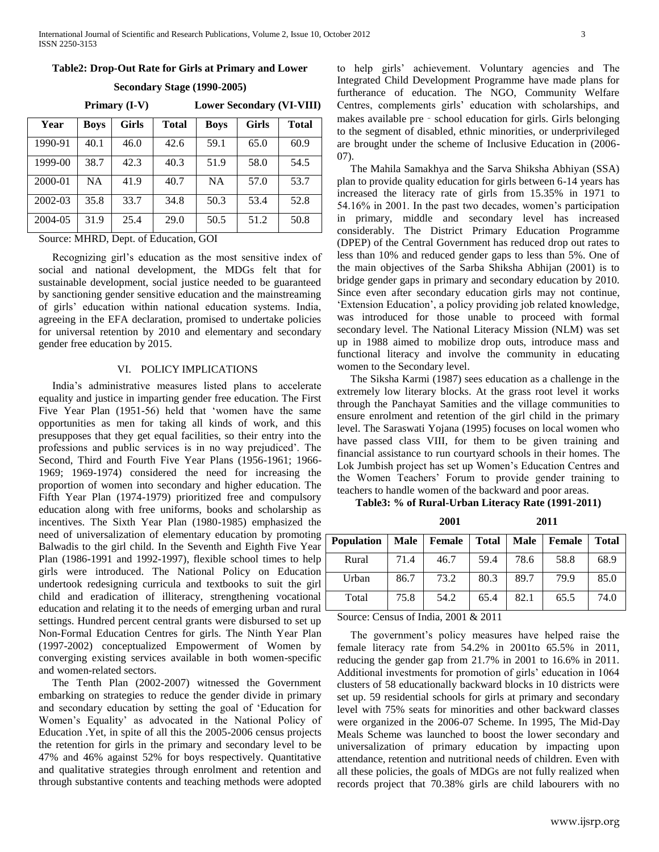## **Table2: Drop-Out Rate for Girls at Primary and Lower**

**Secondary Stage (1990-2005)**

 **Primary (I-V) Lower Secondary (VI-VIII)**

| Year    | <b>Boys</b> | <b>Girls</b> | <b>Total</b> | <b>Boys</b> | <b>Girls</b> | <b>Total</b> |
|---------|-------------|--------------|--------------|-------------|--------------|--------------|
| 1990-91 | 40.1        | 46.0         | 42.6         | 59.1        | 65.0         | 60.9         |
| 1999-00 | 38.7        | 42.3         | 40.3         | 51.9        | 58.0         | 54.5         |
| 2000-01 | <b>NA</b>   | 41.9         | 40.7         | <b>NA</b>   | 57.0         | 53.7         |
| 2002-03 | 35.8        | 33.7         | 34.8         | 50.3        | 53.4         | 52.8         |
| 2004-05 | 31.9        | 25.4         | 29.0         | 50.5        | 51.2         | 50.8         |

Source: MHRD, Dept. of Education, GOI

 Recognizing girl"s education as the most sensitive index of social and national development, the MDGs felt that for sustainable development, social justice needed to be guaranteed by sanctioning gender sensitive education and the mainstreaming of girls" education within national education systems. India, agreeing in the EFA declaration, promised to undertake policies for universal retention by 2010 and elementary and secondary gender free education by 2015.

#### VI. POLICY IMPLICATIONS

 India"s administrative measures listed plans to accelerate equality and justice in imparting gender free education. The First Five Year Plan (1951-56) held that "women have the same opportunities as men for taking all kinds of work, and this presupposes that they get equal facilities, so their entry into the professions and public services is in no way prejudiced". The Second, Third and Fourth Five Year Plans (1956-1961; 1966- 1969; 1969-1974) considered the need for increasing the proportion of women into secondary and higher education. The Fifth Year Plan (1974-1979) prioritized free and compulsory education along with free uniforms, books and scholarship as incentives. The Sixth Year Plan (1980-1985) emphasized the need of universalization of elementary education by promoting Balwadis to the girl child. In the Seventh and Eighth Five Year Plan (1986-1991 and 1992-1997), flexible school times to help girls were introduced. The National Policy on Education undertook redesigning curricula and textbooks to suit the girl child and eradication of illiteracy, strengthening vocational education and relating it to the needs of emerging urban and rural settings. Hundred percent central grants were disbursed to set up Non-Formal Education Centres for girls. The Ninth Year Plan (1997-2002) conceptualized Empowerment of Women by converging existing services available in both women-specific and women-related sectors.

 The Tenth Plan (2002-2007) witnessed the Government embarking on strategies to reduce the gender divide in primary and secondary education by setting the goal of "Education for Women"s Equality" as advocated in the National Policy of Education .Yet, in spite of all this the 2005-2006 census projects the retention for girls in the primary and secondary level to be 47% and 46% against 52% for boys respectively. Quantitative and qualitative strategies through enrolment and retention and through substantive contents and teaching methods were adopted to help girls" achievement. Voluntary agencies and The Integrated Child Development Programme have made plans for furtherance of education. The NGO, Community Welfare Centres, complements girls" education with scholarships, and makes available pre - school education for girls. Girls belonging to the segment of disabled, ethnic minorities, or underprivileged are brought under the scheme of Inclusive Education in (2006- 07).

 The Mahila Samakhya and the Sarva Shiksha Abhiyan (SSA) plan to provide quality education for girls between 6-14 years has increased the literacy rate of girls from 15.35% in 1971 to 54.16% in 2001. In the past two decades, women"s participation in primary, middle and secondary level has increased considerably. The District Primary Education Programme (DPEP) of the Central Government has reduced drop out rates to less than 10% and reduced gender gaps to less than 5%. One of the main objectives of the Sarba Shiksha Abhijan (2001) is to bridge gender gaps in primary and secondary education by 2010. Since even after secondary education girls may not continue, "Extension Education", a policy providing job related knowledge, was introduced for those unable to proceed with formal secondary level. The National Literacy Mission (NLM) was set up in 1988 aimed to mobilize drop outs, introduce mass and functional literacy and involve the community in educating women to the Secondary level.

 The Siksha Karmi (1987) sees education as a challenge in the extremely low literary blocks. At the grass root level it works through the Panchayat Samities and the village communities to ensure enrolment and retention of the girl child in the primary level. The Saraswati Yojana (1995) focuses on local women who have passed class VIII, for them to be given training and financial assistance to run courtyard schools in their homes. The Lok Jumbish project has set up Women"s Education Centres and the Women Teachers' Forum to provide gender training to teachers to handle women of the backward and poor areas.

**Table3: % of Rural-Urban Literacy Rate (1991-2011)**

|                   | 2001 |               | 2011         |             |        |              |
|-------------------|------|---------------|--------------|-------------|--------|--------------|
| <b>Population</b> | Male | <b>Female</b> | <b>Total</b> | <b>Male</b> | Female | <b>Total</b> |
| Rural             | 71.4 | 46.7          | 59.4         | 78.6        | 58.8   | 68.9         |
| Urban             | 86.7 | 73.2          | 80.3         | 89.7        | 79.9   | 85.0         |
| Total             | 75.8 | 54.2          | 65.4         | 82.1        | 65.5   | 74.0         |

Source: Census of India, 2001 & 2011

The government's policy measures have helped raise the female literacy rate from 54.2% in 2001to 65.5% in 2011, reducing the gender gap from 21.7% in 2001 to 16.6% in 2011. Additional investments for promotion of girls' education in 1064 clusters of 58 educationally backward blocks in 10 districts were set up. 59 residential schools for girls at primary and secondary level with 75% seats for minorities and other backward classes were organized in the 2006-07 Scheme. In 1995, The Mid-Day Meals Scheme was launched to boost the lower secondary and universalization of primary education by impacting upon attendance, retention and nutritional needs of children. Even with all these policies, the goals of MDGs are not fully realized when records project that 70.38% girls are child labourers with no